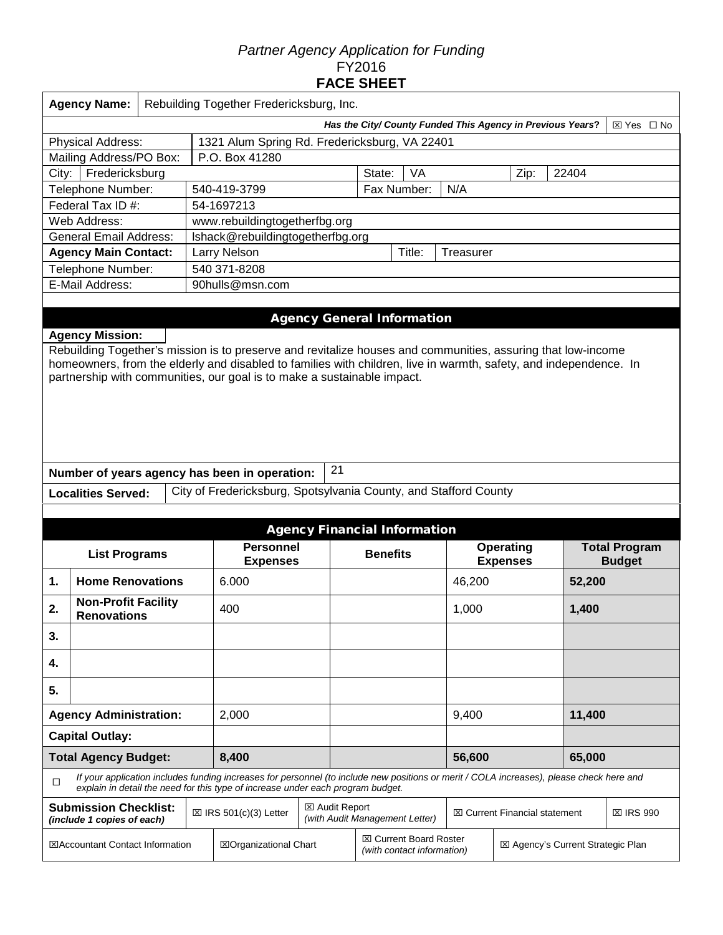## *Partner Agency Application for Funding*  FY2016 **FACE SHEET**

| <b>Agency Name:</b><br>Rebuilding Together Fredericksburg, Inc.                                                                                                                                                                                                                                                                        |  |  |                                                                                                                                                                                                                             |                                                                                          |                                                                                                  |    |                  |                                     |       |                                       |  |  |
|----------------------------------------------------------------------------------------------------------------------------------------------------------------------------------------------------------------------------------------------------------------------------------------------------------------------------------------|--|--|-----------------------------------------------------------------------------------------------------------------------------------------------------------------------------------------------------------------------------|------------------------------------------------------------------------------------------|--------------------------------------------------------------------------------------------------|----|------------------|-------------------------------------|-------|---------------------------------------|--|--|
| Has the City/ County Funded This Agency in Previous Years?<br>⊠ Yes □ No                                                                                                                                                                                                                                                               |  |  |                                                                                                                                                                                                                             |                                                                                          |                                                                                                  |    |                  |                                     |       |                                       |  |  |
| <b>Physical Address:</b><br>1321 Alum Spring Rd. Fredericksburg, VA 22401                                                                                                                                                                                                                                                              |  |  |                                                                                                                                                                                                                             |                                                                                          |                                                                                                  |    |                  |                                     |       |                                       |  |  |
| P.O. Box 41280<br>Mailing Address/PO Box:                                                                                                                                                                                                                                                                                              |  |  |                                                                                                                                                                                                                             |                                                                                          |                                                                                                  |    |                  |                                     |       |                                       |  |  |
| Fredericksburg<br>City:                                                                                                                                                                                                                                                                                                                |  |  |                                                                                                                                                                                                                             |                                                                                          | State:                                                                                           | VA |                  | Zip:<br>22404                       |       |                                       |  |  |
| Telephone Number:                                                                                                                                                                                                                                                                                                                      |  |  | 540-419-3799                                                                                                                                                                                                                |                                                                                          | Fax Number:                                                                                      |    | N/A              |                                     |       |                                       |  |  |
| Federal Tax ID #:                                                                                                                                                                                                                                                                                                                      |  |  | 54-1697213                                                                                                                                                                                                                  |                                                                                          |                                                                                                  |    |                  |                                     |       |                                       |  |  |
| Web Address:                                                                                                                                                                                                                                                                                                                           |  |  | www.rebuildingtogetherfbg.org                                                                                                                                                                                               |                                                                                          |                                                                                                  |    |                  |                                     |       |                                       |  |  |
| <b>General Email Address:</b>                                                                                                                                                                                                                                                                                                          |  |  | Ishack@rebuildingtogetherfbg.org                                                                                                                                                                                            |                                                                                          |                                                                                                  |    |                  |                                     |       |                                       |  |  |
| <b>Agency Main Contact:</b>                                                                                                                                                                                                                                                                                                            |  |  | <b>Larry Nelson</b><br>Title:<br>Treasurer                                                                                                                                                                                  |                                                                                          |                                                                                                  |    |                  |                                     |       |                                       |  |  |
| Telephone Number:                                                                                                                                                                                                                                                                                                                      |  |  | 540 371-8208                                                                                                                                                                                                                |                                                                                          |                                                                                                  |    |                  |                                     |       |                                       |  |  |
| E-Mail Address:                                                                                                                                                                                                                                                                                                                        |  |  | 90hulls@msn.com                                                                                                                                                                                                             |                                                                                          |                                                                                                  |    |                  |                                     |       |                                       |  |  |
| <b>Agency Mission:</b><br>Rebuilding Together's mission is to preserve and revitalize houses and communities, assuring that low-income<br>homeowners, from the elderly and disabled to families with children, live in warmth, safety, and independence. In<br>partnership with communities, our goal is to make a sustainable impact. |  |  |                                                                                                                                                                                                                             |                                                                                          |                                                                                                  |    |                  |                                     |       |                                       |  |  |
|                                                                                                                                                                                                                                                                                                                                        |  |  | Number of years agency has been in operation:                                                                                                                                                                               | 21                                                                                       |                                                                                                  |    |                  |                                     |       |                                       |  |  |
| <b>Localities Served:</b>                                                                                                                                                                                                                                                                                                              |  |  | City of Fredericksburg, Spotsylvania County, and Stafford County                                                                                                                                                            |                                                                                          |                                                                                                  |    |                  |                                     |       |                                       |  |  |
|                                                                                                                                                                                                                                                                                                                                        |  |  |                                                                                                                                                                                                                             |                                                                                          |                                                                                                  |    |                  |                                     |       |                                       |  |  |
|                                                                                                                                                                                                                                                                                                                                        |  |  |                                                                                                                                                                                                                             | <b>Agency Financial Information</b>                                                      |                                                                                                  |    |                  |                                     |       |                                       |  |  |
| <b>List Programs</b>                                                                                                                                                                                                                                                                                                                   |  |  | <b>Personnel</b><br><b>Expenses</b>                                                                                                                                                                                         |                                                                                          | <b>Benefits</b>                                                                                  |    |                  | <b>Operating</b><br><b>Expenses</b> |       | <b>Total Program</b><br><b>Budget</b> |  |  |
| <b>Home Renovations</b><br>1.                                                                                                                                                                                                                                                                                                          |  |  | 6.000                                                                                                                                                                                                                       |                                                                                          | 46,200                                                                                           |    |                  | 52,200                              |       |                                       |  |  |
| <b>Non-Profit Facility</b><br>2.<br><b>Renovations</b>                                                                                                                                                                                                                                                                                 |  |  | 400                                                                                                                                                                                                                         |                                                                                          |                                                                                                  |    | 1,000            |                                     | 1,400 |                                       |  |  |
| 3.                                                                                                                                                                                                                                                                                                                                     |  |  |                                                                                                                                                                                                                             |                                                                                          |                                                                                                  |    |                  |                                     |       |                                       |  |  |
| 4.                                                                                                                                                                                                                                                                                                                                     |  |  |                                                                                                                                                                                                                             |                                                                                          |                                                                                                  |    |                  |                                     |       |                                       |  |  |
| 5.                                                                                                                                                                                                                                                                                                                                     |  |  |                                                                                                                                                                                                                             |                                                                                          |                                                                                                  |    |                  |                                     |       |                                       |  |  |
| <b>Agency Administration:</b>                                                                                                                                                                                                                                                                                                          |  |  | 2,000                                                                                                                                                                                                                       |                                                                                          |                                                                                                  |    | 9,400            |                                     |       | 11,400                                |  |  |
| <b>Capital Outlay:</b>                                                                                                                                                                                                                                                                                                                 |  |  |                                                                                                                                                                                                                             |                                                                                          |                                                                                                  |    |                  |                                     |       |                                       |  |  |
| <b>Total Agency Budget:</b>                                                                                                                                                                                                                                                                                                            |  |  | 8,400                                                                                                                                                                                                                       |                                                                                          |                                                                                                  |    | 56,600           |                                     |       | 65,000                                |  |  |
| $\Box$                                                                                                                                                                                                                                                                                                                                 |  |  | If your application includes funding increases for personnel (to include new positions or merit / COLA increases), please check here and<br>explain in detail the need for this type of increase under each program budget. |                                                                                          |                                                                                                  |    |                  |                                     |       |                                       |  |  |
| <b>Submission Checklist:</b><br>(include 1 copies of each)                                                                                                                                                                                                                                                                             |  |  | $\boxtimes$ IRS 501(c)(3) Letter                                                                                                                                                                                            | ⊠ Audit Report<br><b>⊠ Current Financial statement</b><br>(with Audit Management Letter) |                                                                                                  |    | <b>⊠ IRS 990</b> |                                     |       |                                       |  |  |
| <b>⊠Accountant Contact Information</b>                                                                                                                                                                                                                                                                                                 |  |  | ⊠Organizational Chart                                                                                                                                                                                                       |                                                                                          | <b>⊠ Current Board Roster</b><br>⊠ Agency's Current Strategic Plan<br>(with contact information) |    |                  |                                     |       |                                       |  |  |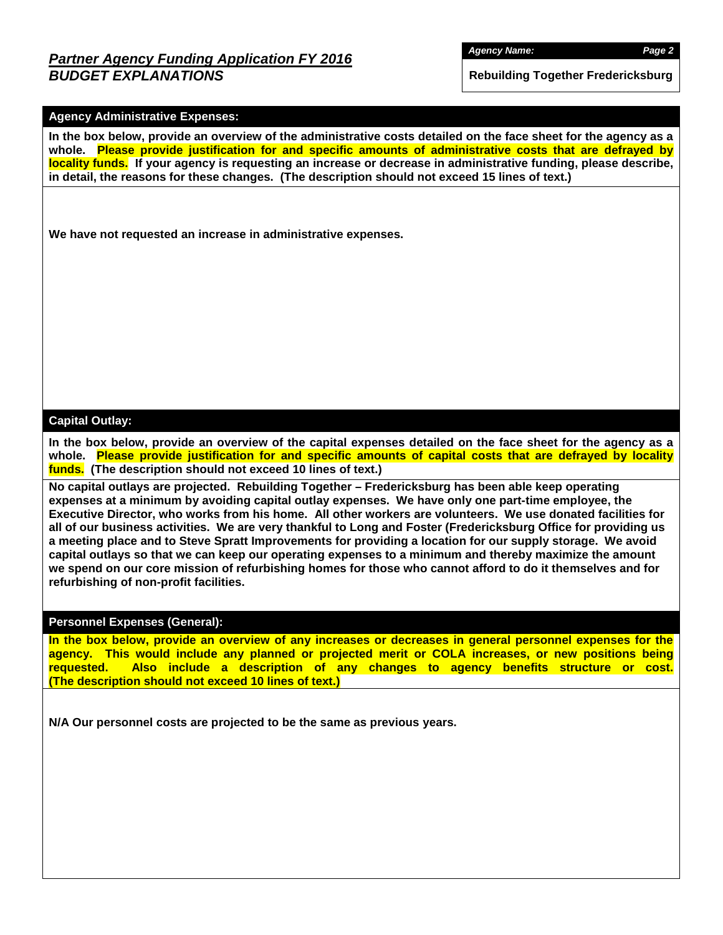## *Partner Agency Funding Application FY 2016 BUDGET EXPLANATIONS*

**Rebuilding Together Fredericksburg**

### **Agency Administrative Expenses:**

**In the box below, provide an overview of the administrative costs detailed on the face sheet for the agency as a whole. Please provide justification for and specific amounts of administrative costs that are defrayed by locality funds. If your agency is requesting an increase or decrease in administrative funding, please describe, in detail, the reasons for these changes. (The description should not exceed 15 lines of text.)**

**We have not requested an increase in administrative expenses.**

#### **Capital Outlay:**

**In the box below, provide an overview of the capital expenses detailed on the face sheet for the agency as a whole. Please provide justification for and specific amounts of capital costs that are defrayed by locality funds. (The description should not exceed 10 lines of text.)**

**No capital outlays are projected. Rebuilding Together – Fredericksburg has been able keep operating expenses at a minimum by avoiding capital outlay expenses. We have only one part-time employee, the Executive Director, who works from his home. All other workers are volunteers. We use donated facilities for all of our business activities. We are very thankful to Long and Foster (Fredericksburg Office for providing us a meeting place and to Steve Spratt Improvements for providing a location for our supply storage. We avoid capital outlays so that we can keep our operating expenses to a minimum and thereby maximize the amount we spend on our core mission of refurbishing homes for those who cannot afford to do it themselves and for refurbishing of non-profit facilities.**

#### **Personnel Expenses (General):**

**In the box below, provide an overview of any increases or decreases in general personnel expenses for the agency. This would include any planned or projected merit or COLA increases, or new positions being requested. Also include a description of any changes to agency benefits structure or cost. (The description should not exceed 10 lines of text.)**

**N/A Our personnel costs are projected to be the same as previous years.**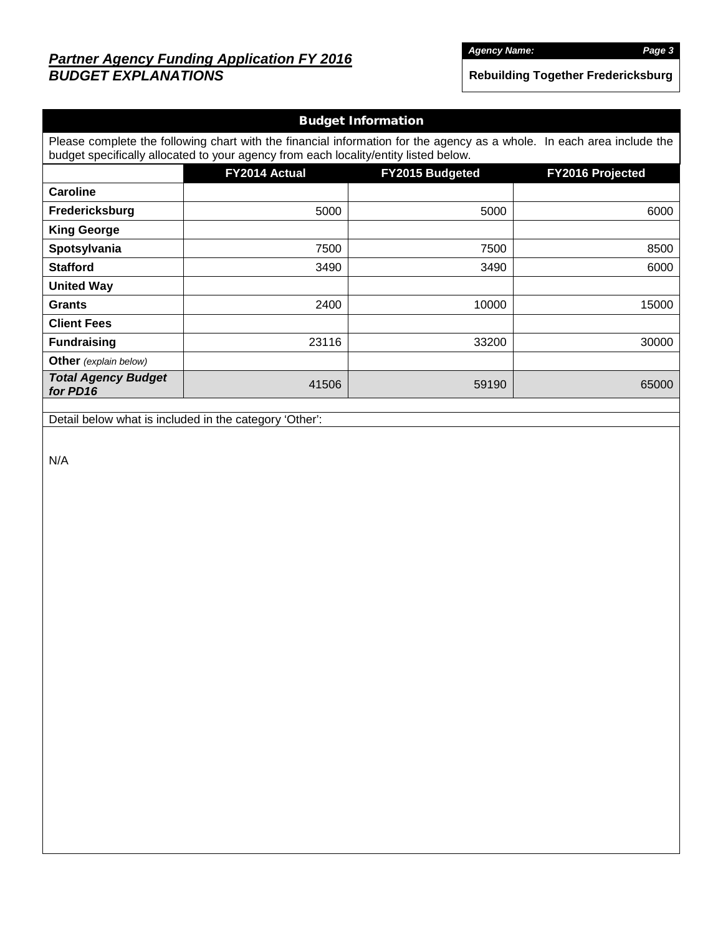# *Partner Agency Funding Application FY 2016 BUDGET EXPLANATIONS*

*Agency Name: Page 3*

**Rebuilding Together Fredericksburg**

| <b>Budget Information</b>                                                                                                                                                                                      |                                                             |       |       |  |  |  |  |  |  |
|----------------------------------------------------------------------------------------------------------------------------------------------------------------------------------------------------------------|-------------------------------------------------------------|-------|-------|--|--|--|--|--|--|
| Please complete the following chart with the financial information for the agency as a whole. In each area include the<br>budget specifically allocated to your agency from each locality/entity listed below. |                                                             |       |       |  |  |  |  |  |  |
|                                                                                                                                                                                                                | FY2014 Actual<br>FY2015 Budgeted<br><b>FY2016 Projected</b> |       |       |  |  |  |  |  |  |
| Caroline                                                                                                                                                                                                       |                                                             |       |       |  |  |  |  |  |  |
| Fredericksburg                                                                                                                                                                                                 | 5000                                                        | 5000  | 6000  |  |  |  |  |  |  |
| <b>King George</b>                                                                                                                                                                                             |                                                             |       |       |  |  |  |  |  |  |
| Spotsylvania                                                                                                                                                                                                   | 7500                                                        | 7500  | 8500  |  |  |  |  |  |  |
| <b>Stafford</b>                                                                                                                                                                                                | 3490                                                        | 3490  | 6000  |  |  |  |  |  |  |
| <b>United Way</b>                                                                                                                                                                                              |                                                             |       |       |  |  |  |  |  |  |
| <b>Grants</b>                                                                                                                                                                                                  | 2400                                                        | 10000 | 15000 |  |  |  |  |  |  |
| <b>Client Fees</b>                                                                                                                                                                                             |                                                             |       |       |  |  |  |  |  |  |
| <b>Fundraising</b>                                                                                                                                                                                             | 23116                                                       | 33200 | 30000 |  |  |  |  |  |  |
| <b>Other</b> (explain below)                                                                                                                                                                                   |                                                             |       |       |  |  |  |  |  |  |
| <b>Total Agency Budget</b><br>for PD16                                                                                                                                                                         | 41506                                                       | 59190 | 65000 |  |  |  |  |  |  |
|                                                                                                                                                                                                                |                                                             |       |       |  |  |  |  |  |  |

Detail below what is included in the category 'Other':

N/A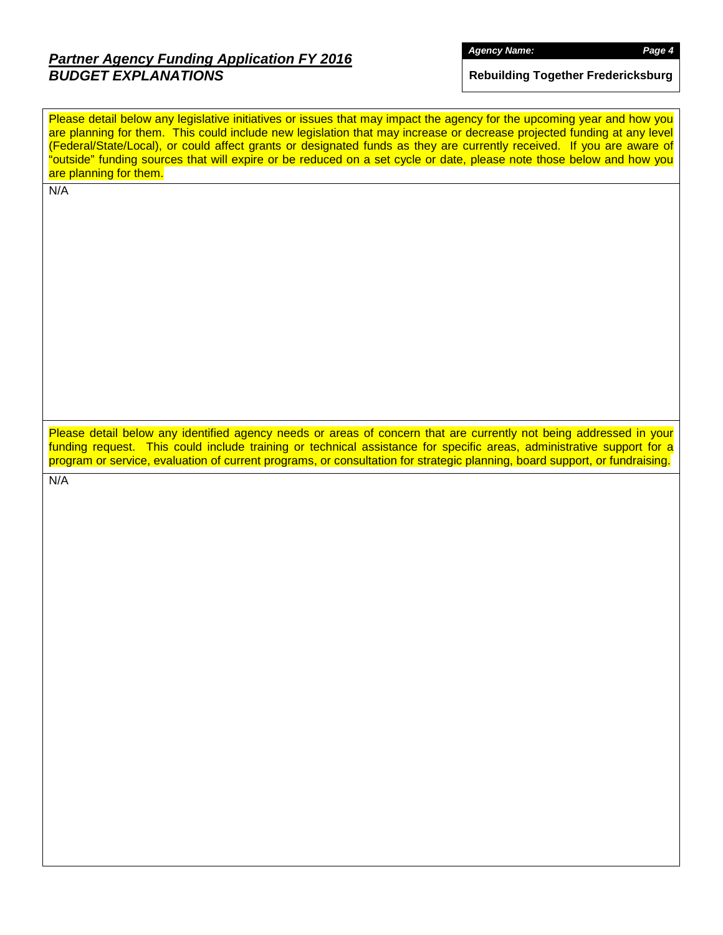# *Partner Agency Funding Application FY 2016 BUDGET EXPLANATIONS*

**Rebuilding Together Fredericksburg**

Please detail below any legislative initiatives or issues that may impact the agency for the upcoming year and how you are planning for them. This could include new legislation that may increase or decrease projected funding at any level (Federal/State/Local), or could affect grants or designated funds as they are currently received. If you are aware of "outside" funding sources that will expire or be reduced on a set cycle or date, please note those below and how you are planning for them.

N/A

Please detail below any identified agency needs or areas of concern that are currently not being addressed in your funding request. This could include training or technical assistance for specific areas, administrative support for a program or service, evaluation of current programs, or consultation for strategic planning, board support, or fundraising.

N/A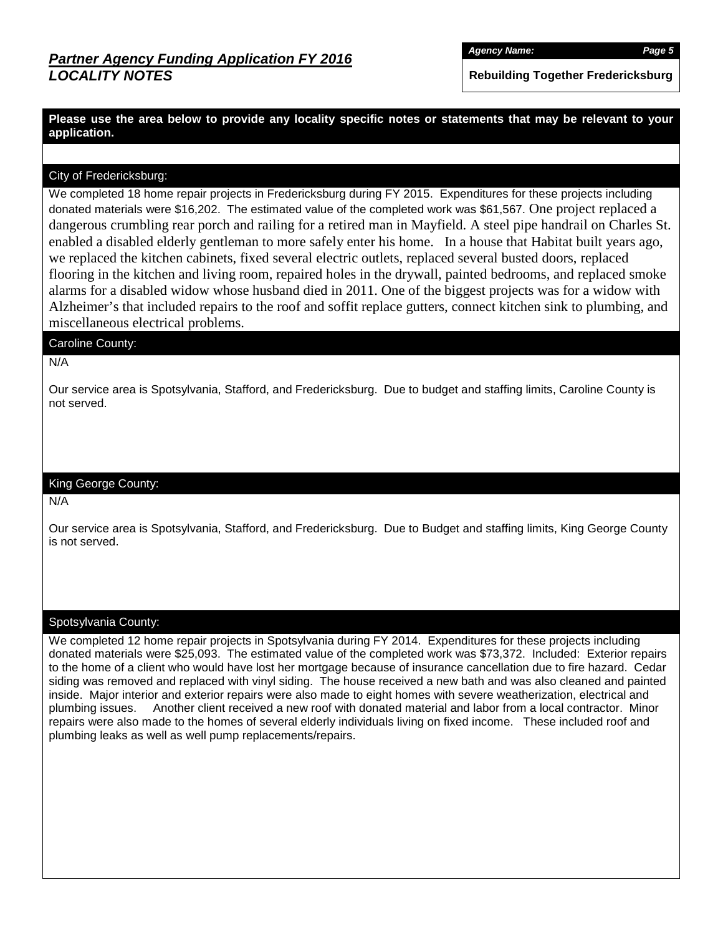*Agency Name: Page 5*

**Rebuilding Together Fredericksburg**

**Please use the area below to provide any locality specific notes or statements that may be relevant to your application.**

### City of Fredericksburg:

We completed 18 home repair projects in Fredericksburg during FY 2015. Expenditures for these projects including donated materials were \$16,202. The estimated value of the completed work was \$61,567. One project replaced a dangerous crumbling rear porch and railing for a retired man in Mayfield. A steel pipe handrail on Charles St. enabled a disabled elderly gentleman to more safely enter his home. In a house that Habitat built years ago, we replaced the kitchen cabinets, fixed several electric outlets, replaced several busted doors, replaced flooring in the kitchen and living room, repaired holes in the drywall, painted bedrooms, and replaced smoke alarms for a disabled widow whose husband died in 2011. One of the biggest projects was for a widow with Alzheimer's that included repairs to the roof and soffit replace gutters, connect kitchen sink to plumbing, and miscellaneous electrical problems.

#### Caroline County:

#### N/A

Our service area is Spotsylvania, Stafford, and Fredericksburg. Due to budget and staffing limits, Caroline County is not served.

#### King George County:

N/A

Our service area is Spotsylvania, Stafford, and Fredericksburg. Due to Budget and staffing limits, King George County is not served.

#### Spotsylvania County:

We completed 12 home repair projects in Spotsylvania during FY 2014. Expenditures for these projects including donated materials were \$25,093. The estimated value of the completed work was \$73,372. Included: Exterior repairs to the home of a client who would have lost her mortgage because of insurance cancellation due to fire hazard. Cedar siding was removed and replaced with vinyl siding. The house received a new bath and was also cleaned and painted inside. Major interior and exterior repairs were also made to eight homes with severe weatherization, electrical and plumbing issues. Another client received a new roof with donated material and labor from a local contractor. Minor repairs were also made to the homes of several elderly individuals living on fixed income. These included roof and plumbing leaks as well as well pump replacements/repairs.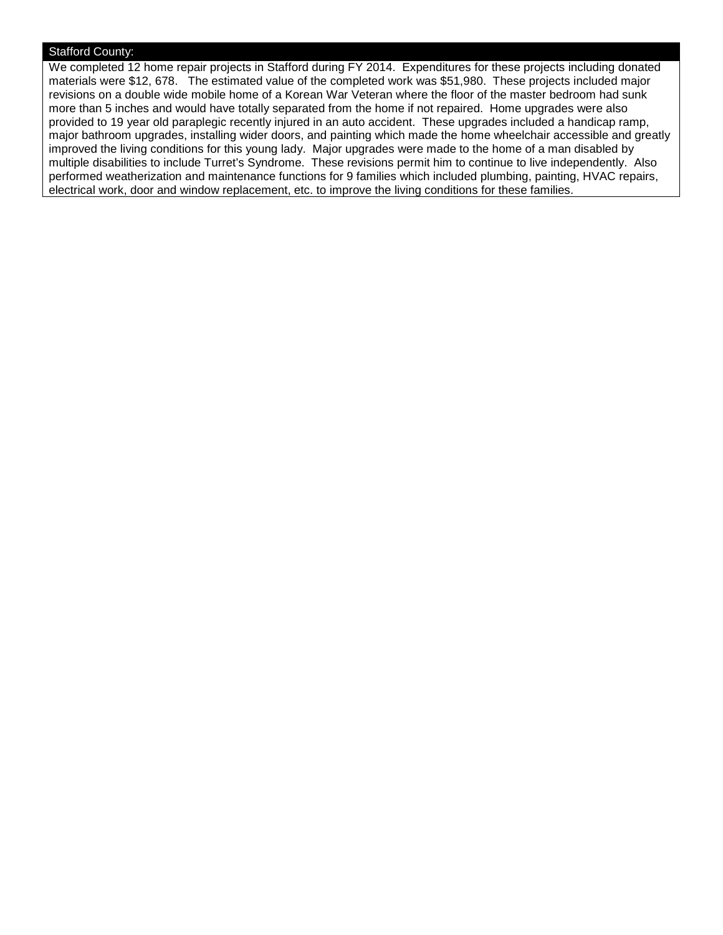### Stafford County:

We completed 12 home repair projects in Stafford during FY 2014. Expenditures for these projects including donated materials were \$12, 678. The estimated value of the completed work was \$51,980. These projects included major revisions on a double wide mobile home of a Korean War Veteran where the floor of the master bedroom had sunk more than 5 inches and would have totally separated from the home if not repaired. Home upgrades were also provided to 19 year old paraplegic recently injured in an auto accident. These upgrades included a handicap ramp, major bathroom upgrades, installing wider doors, and painting which made the home wheelchair accessible and greatly improved the living conditions for this young lady. Major upgrades were made to the home of a man disabled by multiple disabilities to include Turret's Syndrome. These revisions permit him to continue to live independently. Also performed weatherization and maintenance functions for 9 families which included plumbing, painting, HVAC repairs, electrical work, door and window replacement, etc. to improve the living conditions for these families.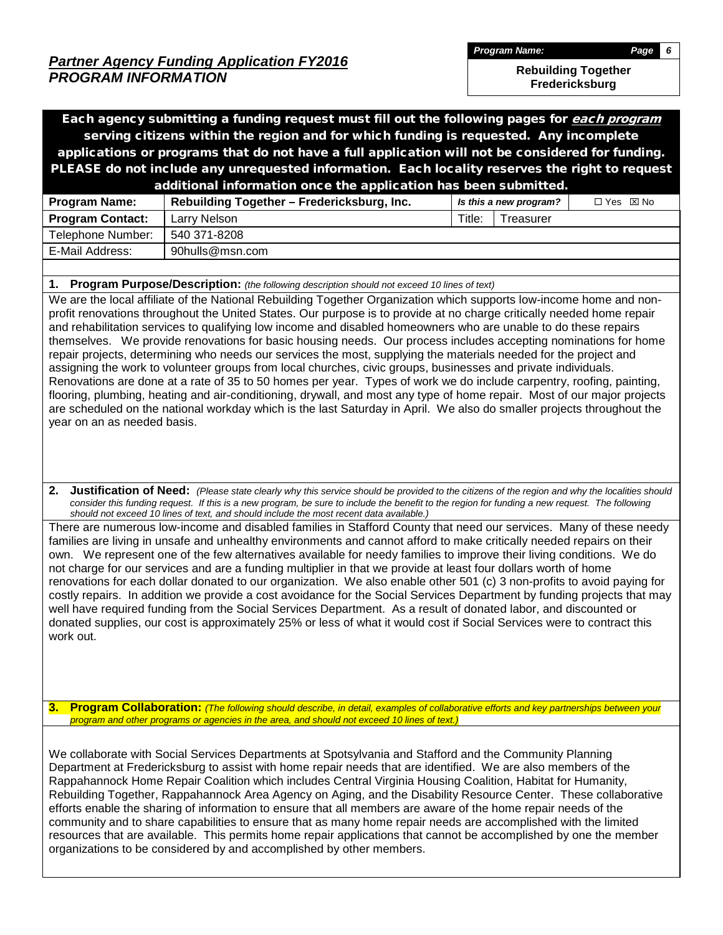*Partner Agency Funding Application FY2016 PROGRAM INFORMATION*

*Program Name: Page 6*

**Rebuilding Together** 

**Fredericksburg**

Each agency submitting a funding request must fill out the following pages for each program serving citizens within the region and for which funding is requested. Any incomplete applications or programs that do not have a full application will not be considered for funding. PLEASE do not include any unrequested information. Each locality reserves the right to request additional information once the application has been submitted.

|                         | .                                          |        |                        |            |
|-------------------------|--------------------------------------------|--------|------------------------|------------|
| <b>Program Name:</b>    | Rebuilding Together – Fredericksburg, Inc. |        | Is this a new program? | □ Yes ⊠ No |
| <b>Program Contact:</b> | Larrv Nelson                               | Title: | Treasurer              |            |
| Telephone Number:       | 540 371-8208                               |        |                        |            |
| E-Mail Address:         | 90hulls@msn.com                            |        |                        |            |
|                         |                                            |        |                        |            |

**1. Program Purpose/Description:** *(the following description should not exceed 10 lines of text)*

We are the local affiliate of the National Rebuilding Together Organization which supports low-income home and nonprofit renovations throughout the United States. Our purpose is to provide at no charge critically needed home repair and rehabilitation services to qualifying low income and disabled homeowners who are unable to do these repairs themselves. We provide renovations for basic housing needs. Our process includes accepting nominations for home repair projects, determining who needs our services the most, supplying the materials needed for the project and assigning the work to volunteer groups from local churches, civic groups, businesses and private individuals. Renovations are done at a rate of 35 to 50 homes per year. Types of work we do include carpentry, roofing, painting, flooring, plumbing, heating and air-conditioning, drywall, and most any type of home repair. Most of our major projects are scheduled on the national workday which is the last Saturday in April. We also do smaller projects throughout the year on an as needed basis.

**2. Justification of Need:** *(Please state clearly why this service should be provided to the citizens of the region and why the localities should consider this funding request. If this is a new program, be sure to include the benefit to the region for funding a new request. The following should not exceed 10 lines of text, and should include the most recent data available.)*

There are numerous low-income and disabled families in Stafford County that need our services. Many of these needy families are living in unsafe and unhealthy environments and cannot afford to make critically needed repairs on their own. We represent one of the few alternatives available for needy families to improve their living conditions. We do not charge for our services and are a funding multiplier in that we provide at least four dollars worth of home renovations for each dollar donated to our organization. We also enable other 501 (c) 3 non-profits to avoid paying for costly repairs. In addition we provide a cost avoidance for the Social Services Department by funding projects that may well have required funding from the Social Services Department. As a result of donated labor, and discounted or donated supplies, our cost is approximately 25% or less of what it would cost if Social Services were to contract this work out.

**3. Program Collaboration:** *(The following should describe, in detail, examples of collaborative efforts and key partnerships between your program and other programs or agencies in the area, and should not exceed 10 lines of text.)*

We collaborate with Social Services Departments at Spotsylvania and Stafford and the Community Planning Department at Fredericksburg to assist with home repair needs that are identified. We are also members of the Rappahannock Home Repair Coalition which includes Central Virginia Housing Coalition, Habitat for Humanity, Rebuilding Together, Rappahannock Area Agency on Aging, and the Disability Resource Center. These collaborative efforts enable the sharing of information to ensure that all members are aware of the home repair needs of the community and to share capabilities to ensure that as many home repair needs are accomplished with the limited resources that are available. This permits home repair applications that cannot be accomplished by one the member organizations to be considered by and accomplished by other members.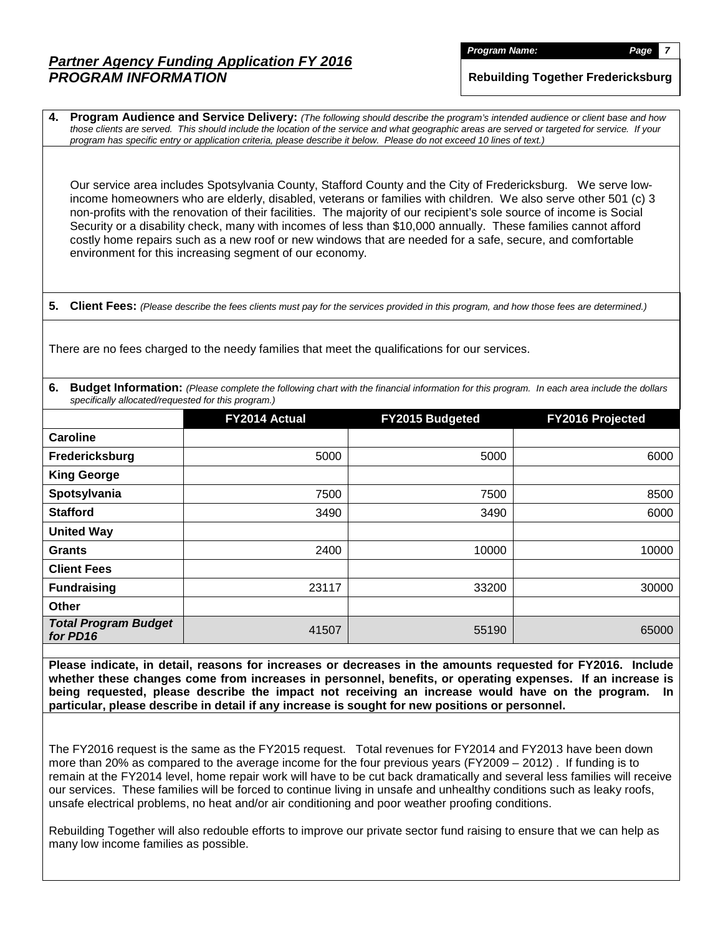## *Partner Agency Funding Application FY 2016 PROGRAM INFORMATION*

*Program Name: Page 7*

**Rebuilding Together Fredericksburg**

**4. Program Audience and Service Delivery:** *(The following should describe the program's intended audience or client base and how those clients are served. This should include the location of the service and what geographic areas are served or targeted for service. If your program has specific entry or application criteria, please describe it below. Please do not exceed 10 lines of text.)*

Our service area includes Spotsylvania County, Stafford County and the City of Fredericksburg. We serve lowincome homeowners who are elderly, disabled, veterans or families with children. We also serve other 501 (c) 3 non-profits with the renovation of their facilities. The majority of our recipient's sole source of income is Social Security or a disability check, many with incomes of less than \$10,000 annually. These families cannot afford costly home repairs such as a new roof or new windows that are needed for a safe, secure, and comfortable environment for this increasing segment of our economy.

**5. Client Fees:** *(Please describe the fees clients must pay for the services provided in this program, and how those fees are determined.)*

There are no fees charged to the needy families that meet the qualifications for our services.

**6. Budget Information:** *(Please complete the following chart with the financial information for this program. In each area include the dollars specifically allocated/requested for this program.)*

|                                         | FY2014 Actual | FY2015 Budgeted | <b>FY2016 Projected</b> |
|-----------------------------------------|---------------|-----------------|-------------------------|
| Caroline                                |               |                 |                         |
| Fredericksburg                          | 5000          | 5000            | 6000                    |
| <b>King George</b>                      |               |                 |                         |
| Spotsylvania                            | 7500          | 7500            | 8500                    |
| <b>Stafford</b>                         | 3490          | 3490            | 6000                    |
| <b>United Way</b>                       |               |                 |                         |
| <b>Grants</b>                           | 2400          | 10000           | 10000                   |
| <b>Client Fees</b>                      |               |                 |                         |
| <b>Fundraising</b>                      | 23117         | 33200           | 30000                   |
| Other                                   |               |                 |                         |
| <b>Total Program Budget</b><br>for PD16 | 41507         | 55190           | 65000                   |

**Please indicate, in detail, reasons for increases or decreases in the amounts requested for FY2016. Include whether these changes come from increases in personnel, benefits, or operating expenses. If an increase is being requested, please describe the impact not receiving an increase would have on the program. In particular, please describe in detail if any increase is sought for new positions or personnel.**

The FY2016 request is the same as the FY2015 request. Total revenues for FY2014 and FY2013 have been down more than 20% as compared to the average income for the four previous years (FY2009 – 2012) . If funding is to remain at the FY2014 level, home repair work will have to be cut back dramatically and several less families will receive our services. These families will be forced to continue living in unsafe and unhealthy conditions such as leaky roofs, unsafe electrical problems, no heat and/or air conditioning and poor weather proofing conditions.

Rebuilding Together will also redouble efforts to improve our private sector fund raising to ensure that we can help as many low income families as possible.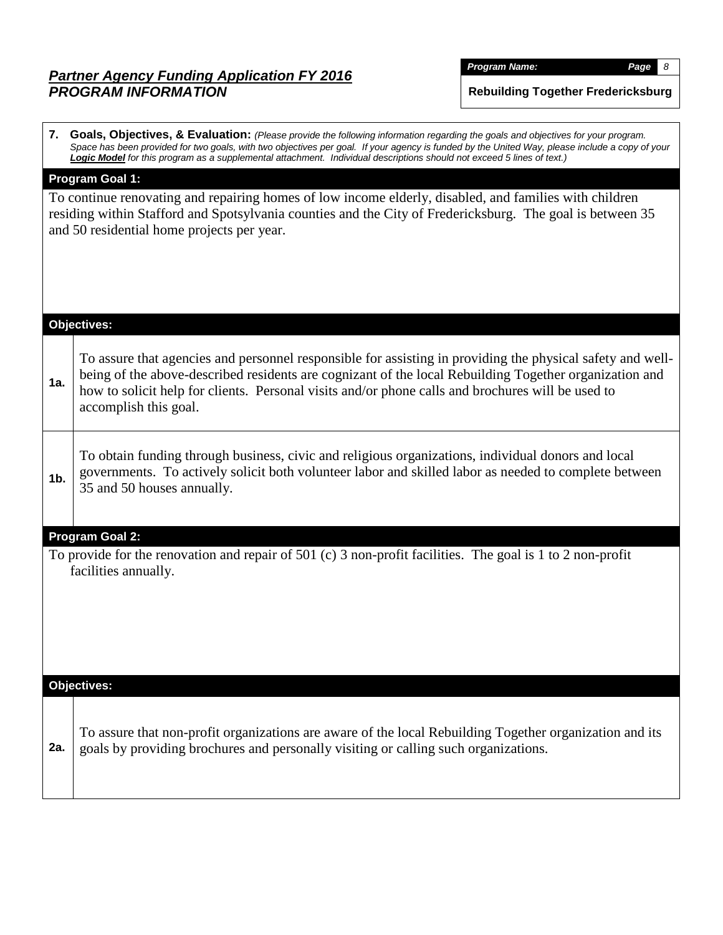## *Partner Agency Funding Application FY 2016 PROGRAM INFORMATION*

*Program Name: Page 8*

**Rebuilding Together Fredericksburg**

**7. Goals, Objectives, & Evaluation:** *(Please provide the following information regarding the goals and objectives for your program.*  Space has been provided for two goals, with two objectives per goal. If your agency is funded by the United Way, please include a copy of your *Logic Model for this program as a supplemental attachment. Individual descriptions should not exceed 5 lines of text.)*

### **Program Goal 1:**

To continue renovating and repairing homes of low income elderly, disabled, and families with children residing within Stafford and Spotsylvania counties and the City of Fredericksburg. The goal is between 35 and 50 residential home projects per year.

|                | Objectives:                                                                                                                                                                                                                                                                                                                                        |
|----------------|----------------------------------------------------------------------------------------------------------------------------------------------------------------------------------------------------------------------------------------------------------------------------------------------------------------------------------------------------|
| 1a.            | To assure that agencies and personnel responsible for assisting in providing the physical safety and well-<br>being of the above-described residents are cognizant of the local Rebuilding Together organization and<br>how to solicit help for clients. Personal visits and/or phone calls and brochures will be used to<br>accomplish this goal. |
| 1 <sub>b</sub> | To obtain funding through business, civic and religious organizations, individual donors and local<br>governments. To actively solicit both volunteer labor and skilled labor as needed to complete between<br>35 and 50 houses annually.                                                                                                          |
|                | <b>Program Goal 2:</b>                                                                                                                                                                                                                                                                                                                             |
|                | To provide for the renovation and repair of 501 (c) 3 non-profit facilities. The goal is 1 to 2 non-profit<br>facilities annually.                                                                                                                                                                                                                 |
|                | <b>Objectives:</b>                                                                                                                                                                                                                                                                                                                                 |
| 2a.            | To assure that non-profit organizations are aware of the local Rebuilding Together organization and its<br>goals by providing brochures and personally visiting or calling such organizations.                                                                                                                                                     |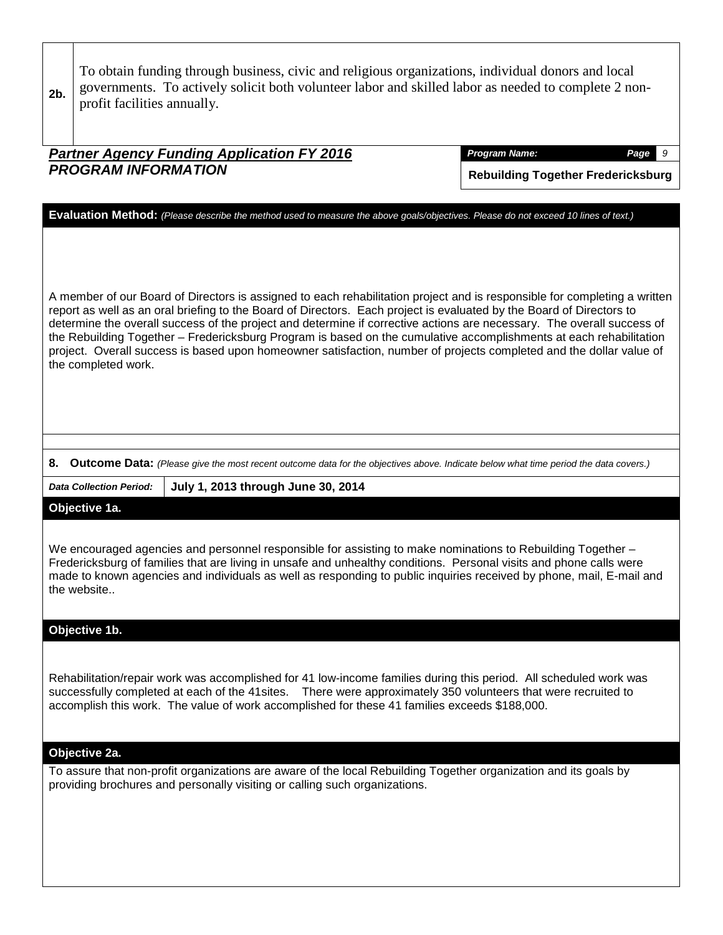| 2b. | profit facilities annually.                                                            | To obtain funding through business, civic and religious organizations, individual donors and local<br>governments. To actively solicit both volunteer labor and skilled labor as needed to complete 2 non-                                                                                                                                                                                                                                                                                                                                                                                                                                                                                                                                                     |                                           |  |  |  |  |  |  |  |  |  |
|-----|----------------------------------------------------------------------------------------|----------------------------------------------------------------------------------------------------------------------------------------------------------------------------------------------------------------------------------------------------------------------------------------------------------------------------------------------------------------------------------------------------------------------------------------------------------------------------------------------------------------------------------------------------------------------------------------------------------------------------------------------------------------------------------------------------------------------------------------------------------------|-------------------------------------------|--|--|--|--|--|--|--|--|--|
|     | <b>Partner Agency Funding Application FY 2016</b><br><b>Program Name:</b><br>9<br>Page |                                                                                                                                                                                                                                                                                                                                                                                                                                                                                                                                                                                                                                                                                                                                                                |                                           |  |  |  |  |  |  |  |  |  |
|     | <b>PROGRAM INFORMATION</b>                                                             |                                                                                                                                                                                                                                                                                                                                                                                                                                                                                                                                                                                                                                                                                                                                                                | <b>Rebuilding Together Fredericksburg</b> |  |  |  |  |  |  |  |  |  |
|     | the completed work.                                                                    | Evaluation Method: (Please describe the method used to measure the above goals/objectives. Please do not exceed 10 lines of text.)<br>A member of our Board of Directors is assigned to each rehabilitation project and is responsible for completing a written<br>report as well as an oral briefing to the Board of Directors. Each project is evaluated by the Board of Directors to<br>determine the overall success of the project and determine if corrective actions are necessary. The overall success of<br>the Rebuilding Together - Fredericksburg Program is based on the cumulative accomplishments at each rehabilitation<br>project. Overall success is based upon homeowner satisfaction, number of projects completed and the dollar value of |                                           |  |  |  |  |  |  |  |  |  |
|     |                                                                                        | 8. Outcome Data: (Please give the most recent outcome data for the objectives above. Indicate below what time period the data covers.)                                                                                                                                                                                                                                                                                                                                                                                                                                                                                                                                                                                                                         |                                           |  |  |  |  |  |  |  |  |  |
|     | <b>Data Collection Period:</b>                                                         | July 1, 2013 through June 30, 2014                                                                                                                                                                                                                                                                                                                                                                                                                                                                                                                                                                                                                                                                                                                             |                                           |  |  |  |  |  |  |  |  |  |
|     | Objective 1a.<br>the website                                                           | We encouraged agencies and personnel responsible for assisting to make nominations to Rebuilding Together -<br>Fredericksburg of families that are living in unsafe and unhealthy conditions. Personal visits and phone calls were<br>made to known agencies and individuals as well as responding to public inquiries received by phone, mail, E-mail and                                                                                                                                                                                                                                                                                                                                                                                                     |                                           |  |  |  |  |  |  |  |  |  |
|     | Objective 1b.                                                                          |                                                                                                                                                                                                                                                                                                                                                                                                                                                                                                                                                                                                                                                                                                                                                                |                                           |  |  |  |  |  |  |  |  |  |
|     | Objective 2a.                                                                          | Rehabilitation/repair work was accomplished for 41 low-income families during this period. All scheduled work was<br>successfully completed at each of the 41sites. There were approximately 350 volunteers that were recruited to<br>accomplish this work. The value of work accomplished for these 41 families exceeds \$188,000.                                                                                                                                                                                                                                                                                                                                                                                                                            |                                           |  |  |  |  |  |  |  |  |  |
|     |                                                                                        | To assure that non-profit organizations are aware of the local Rebuilding Together organization and its goals by<br>providing brochures and personally visiting or calling such organizations.                                                                                                                                                                                                                                                                                                                                                                                                                                                                                                                                                                 |                                           |  |  |  |  |  |  |  |  |  |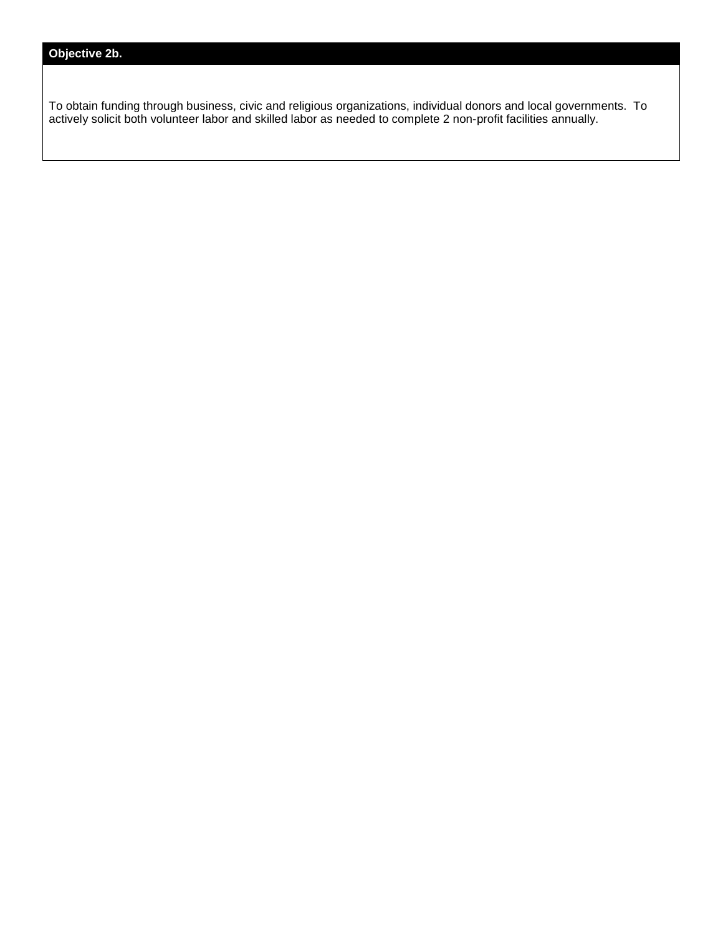To obtain funding through business, civic and religious organizations, individual donors and local governments. To actively solicit both volunteer labor and skilled labor as needed to complete 2 non-profit facilities annually.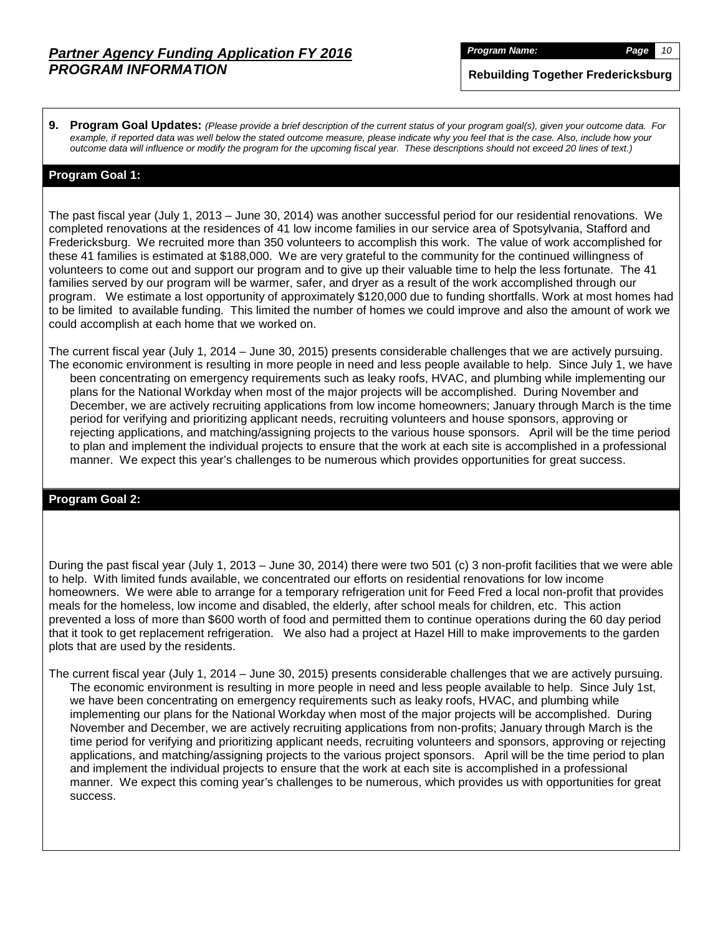*Program Name: Page 10*

**Rebuilding Together Fredericksburg**

**9. Program Goal Updates:** *(Please provide a brief description of the current status of your program goal(s), given your outcome data. For example, if reported data was well below the stated outcome measure, please indicate why you feel that is the case. Also, include how your outcome data will influence or modify the program for the upcoming fiscal year. These descriptions should not exceed 20 lines of text.)*

#### **Program Goal 1:**

The past fiscal year (July 1, 2013 – June 30, 2014) was another successful period for our residential renovations. We completed renovations at the residences of 41 low income families in our service area of Spotsylvania, Stafford and Fredericksburg. We recruited more than 350 volunteers to accomplish this work. The value of work accomplished for these 41 families is estimated at \$188,000. We are very grateful to the community for the continued willingness of volunteers to come out and support our program and to give up their valuable time to help the less fortunate. The 41 families served by our program will be warmer, safer, and dryer as a result of the work accomplished through our program. We estimate a lost opportunity of approximately \$120,000 due to funding shortfalls. Work at most homes had to be limited to available funding. This limited the number of homes we could improve and also the amount of work we could accomplish at each home that we worked on.

The current fiscal year (July 1, 2014 – June 30, 2015) presents considerable challenges that we are actively pursuing. The economic environment is resulting in more people in need and less people available to help. Since July 1, we have been concentrating on emergency requirements such as leaky roofs, HVAC, and plumbing while implementing our plans for the National Workday when most of the major projects will be accomplished. During November and December, we are actively recruiting applications from low income homeowners; January through March is the time period for verifying and prioritizing applicant needs, recruiting volunteers and house sponsors, approving or rejecting applications, and matching/assigning projects to the various house sponsors. April will be the time period to plan and implement the individual projects to ensure that the work at each site is accomplished in a professional manner. We expect this year's challenges to be numerous which provides opportunities for great success.

#### **Program Goal 2:**

During the past fiscal year (July 1, 2013 – June 30, 2014) there were two 501 (c) 3 non-profit facilities that we were able to help. With limited funds available, we concentrated our efforts on residential renovations for low income homeowners. We were able to arrange for a temporary refrigeration unit for Feed Fred a local non-profit that provides meals for the homeless, low income and disabled, the elderly, after school meals for children, etc. This action prevented a loss of more than \$600 worth of food and permitted them to continue operations during the 60 day period that it took to get replacement refrigeration. We also had a project at Hazel Hill to make improvements to the garden plots that are used by the residents.

The current fiscal year (July 1, 2014 – June 30, 2015) presents considerable challenges that we are actively pursuing. The economic environment is resulting in more people in need and less people available to help. Since July 1st, we have been concentrating on emergency requirements such as leaky roofs, HVAC, and plumbing while implementing our plans for the National Workday when most of the major projects will be accomplished. During November and December, we are actively recruiting applications from non-profits; January through March is the time period for verifying and prioritizing applicant needs, recruiting volunteers and sponsors, approving or rejecting applications, and matching/assigning projects to the various project sponsors. April will be the time period to plan and implement the individual projects to ensure that the work at each site is accomplished in a professional manner. We expect this coming year's challenges to be numerous, which provides us with opportunities for great success.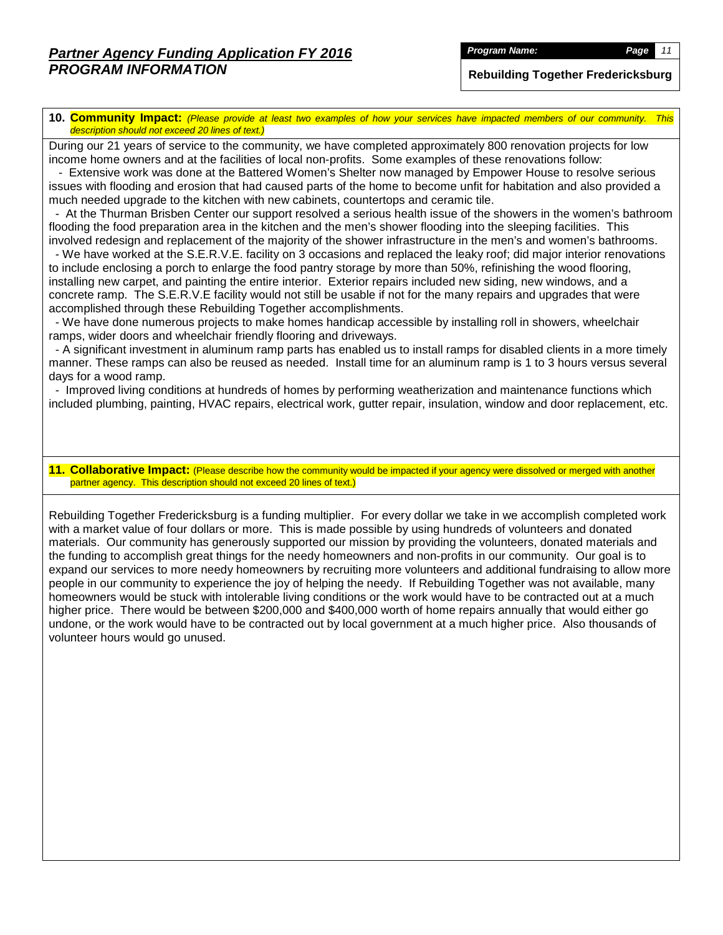*Program Name: Page 11*

**Rebuilding Together Fredericksburg**

**10. Community Impact:** *(Please provide at least two examples of how your services have impacted members of our community. This description should not exceed 20 lines of text.)*

During our 21 years of service to the community, we have completed approximately 800 renovation projects for low income home owners and at the facilities of local non-profits. Some examples of these renovations follow:

 - Extensive work was done at the Battered Women's Shelter now managed by Empower House to resolve serious issues with flooding and erosion that had caused parts of the home to become unfit for habitation and also provided a much needed upgrade to the kitchen with new cabinets, countertops and ceramic tile.

 - At the Thurman Brisben Center our support resolved a serious health issue of the showers in the women's bathroom flooding the food preparation area in the kitchen and the men's shower flooding into the sleeping facilities. This

involved redesign and replacement of the majority of the shower infrastructure in the men's and women's bathrooms. - We have worked at the S.E.R.V.E. facility on 3 occasions and replaced the leaky roof; did major interior renovations to include enclosing a porch to enlarge the food pantry storage by more than 50%, refinishing the wood flooring, installing new carpet, and painting the entire interior. Exterior repairs included new siding, new windows, and a

concrete ramp. The S.E.R.V.E facility would not still be usable if not for the many repairs and upgrades that were accomplished through these Rebuilding Together accomplishments.

 - We have done numerous projects to make homes handicap accessible by installing roll in showers, wheelchair ramps, wider doors and wheelchair friendly flooring and driveways.

 - A significant investment in aluminum ramp parts has enabled us to install ramps for disabled clients in a more timely manner. These ramps can also be reused as needed. Install time for an aluminum ramp is 1 to 3 hours versus several days for a wood ramp.

 - Improved living conditions at hundreds of homes by performing weatherization and maintenance functions which included plumbing, painting, HVAC repairs, electrical work, gutter repair, insulation, window and door replacement, etc.

#### **11. Collaborative Impact:** (Please describe how the community would be impacted if your agency were dissolved or merged with another partner agency. This description should not exceed 20 lines of text.)

Rebuilding Together Fredericksburg is a funding multiplier. For every dollar we take in we accomplish completed work with a market value of four dollars or more. This is made possible by using hundreds of volunteers and donated materials. Our community has generously supported our mission by providing the volunteers, donated materials and the funding to accomplish great things for the needy homeowners and non-profits in our community. Our goal is to expand our services to more needy homeowners by recruiting more volunteers and additional fundraising to allow more people in our community to experience the joy of helping the needy. If Rebuilding Together was not available, many homeowners would be stuck with intolerable living conditions or the work would have to be contracted out at a much higher price. There would be between \$200,000 and \$400,000 worth of home repairs annually that would either go undone, or the work would have to be contracted out by local government at a much higher price. Also thousands of volunteer hours would go unused.